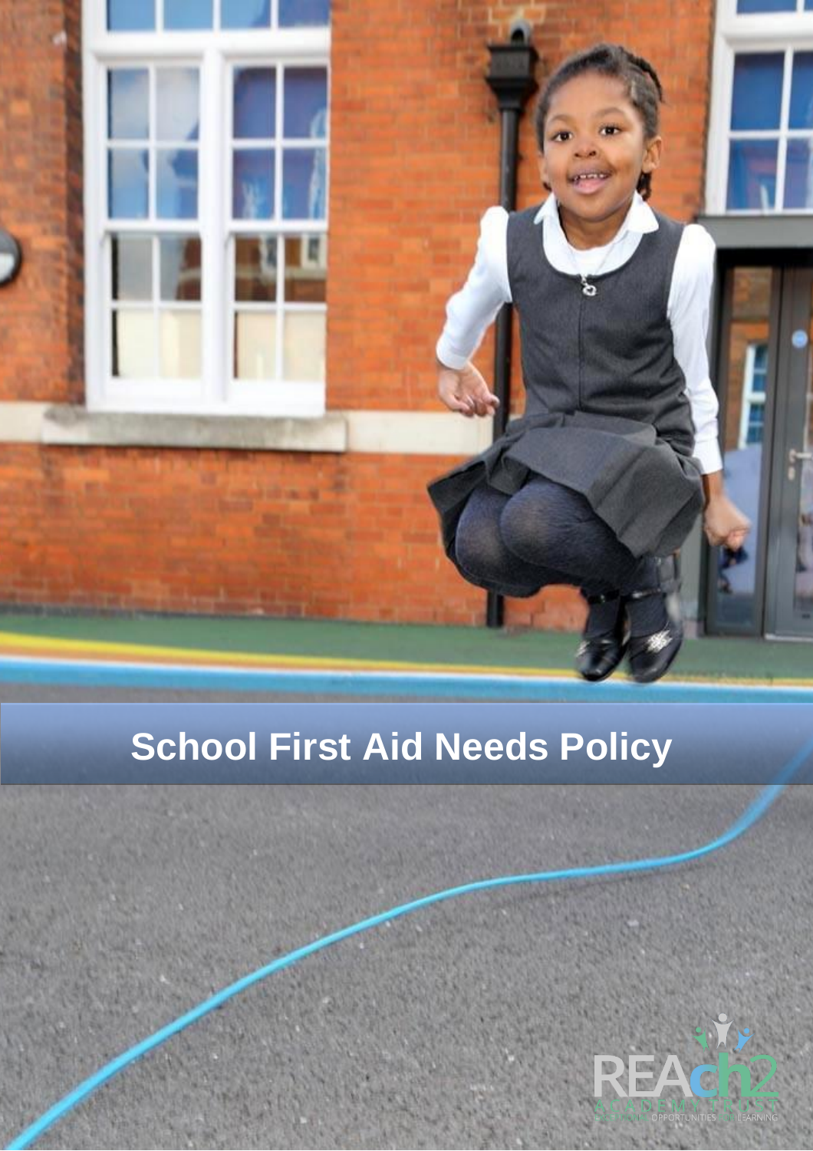

# **School First Aid Needs Policy**

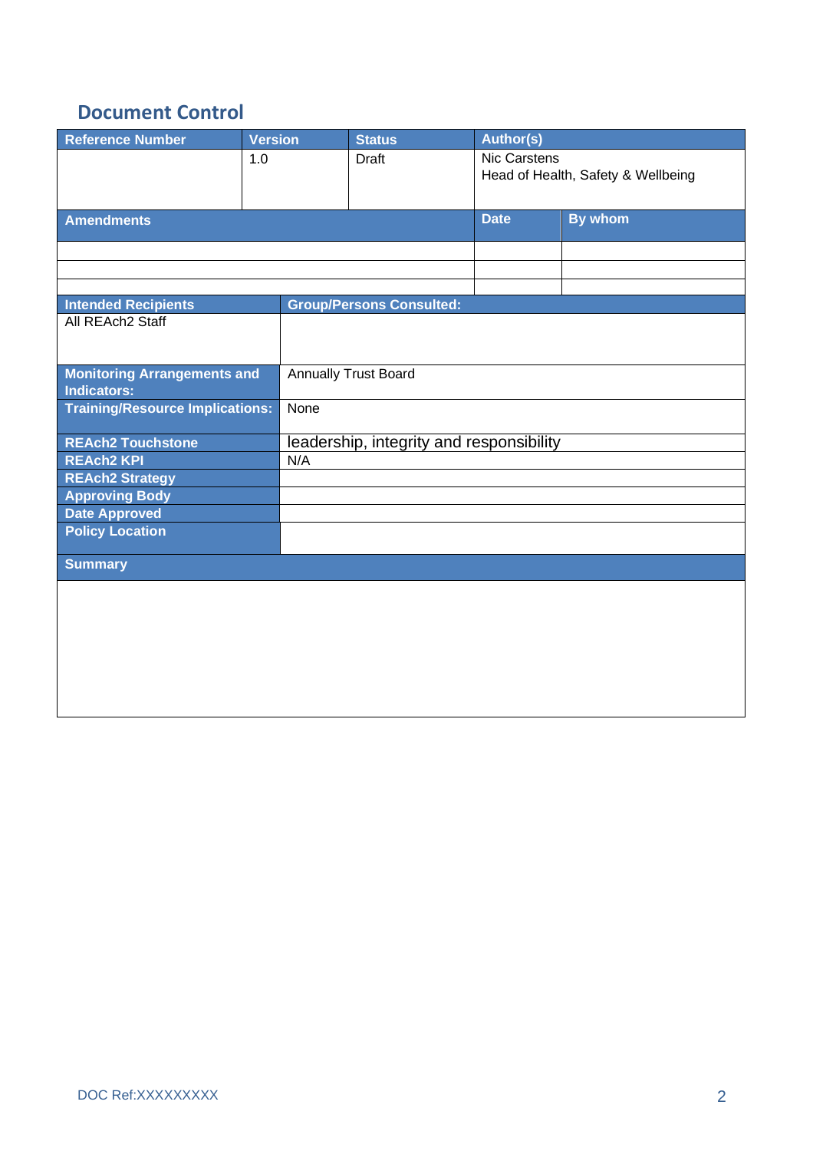# <span id="page-1-0"></span>**Document Control**

| <b>Reference Number</b>                                  | <b>Version</b> |                                          | <b>Status</b> | <b>Author(s)</b>                                          |  |  |
|----------------------------------------------------------|----------------|------------------------------------------|---------------|-----------------------------------------------------------|--|--|
|                                                          | 1.0            |                                          | <b>Draft</b>  | <b>Nic Carstens</b><br>Head of Health, Safety & Wellbeing |  |  |
|                                                          |                |                                          |               |                                                           |  |  |
| <b>Amendments</b>                                        |                |                                          | <b>Date</b>   | <b>By whom</b>                                            |  |  |
|                                                          |                |                                          |               |                                                           |  |  |
|                                                          |                |                                          |               |                                                           |  |  |
| <b>Intended Recipients</b>                               |                | <b>Group/Persons Consulted:</b>          |               |                                                           |  |  |
| All REAch2 Staff                                         |                |                                          |               |                                                           |  |  |
|                                                          |                |                                          |               |                                                           |  |  |
| <b>Monitoring Arrangements and</b><br><b>Indicators:</b> |                | <b>Annually Trust Board</b>              |               |                                                           |  |  |
| <b>Training/Resource Implications:</b>                   |                | None                                     |               |                                                           |  |  |
| <b>REAch2 Touchstone</b>                                 |                | leadership, integrity and responsibility |               |                                                           |  |  |
| <b>REAch2 KPI</b>                                        |                | N/A                                      |               |                                                           |  |  |
| <b>REAch2 Strategy</b>                                   |                |                                          |               |                                                           |  |  |
| <b>Approving Body</b>                                    |                |                                          |               |                                                           |  |  |
| <b>Date Approved</b>                                     |                |                                          |               |                                                           |  |  |
| <b>Policy Location</b>                                   |                |                                          |               |                                                           |  |  |
| <b>Summary</b>                                           |                |                                          |               |                                                           |  |  |
|                                                          |                |                                          |               |                                                           |  |  |
|                                                          |                |                                          |               |                                                           |  |  |
|                                                          |                |                                          |               |                                                           |  |  |
|                                                          |                |                                          |               |                                                           |  |  |
|                                                          |                |                                          |               |                                                           |  |  |
|                                                          |                |                                          |               |                                                           |  |  |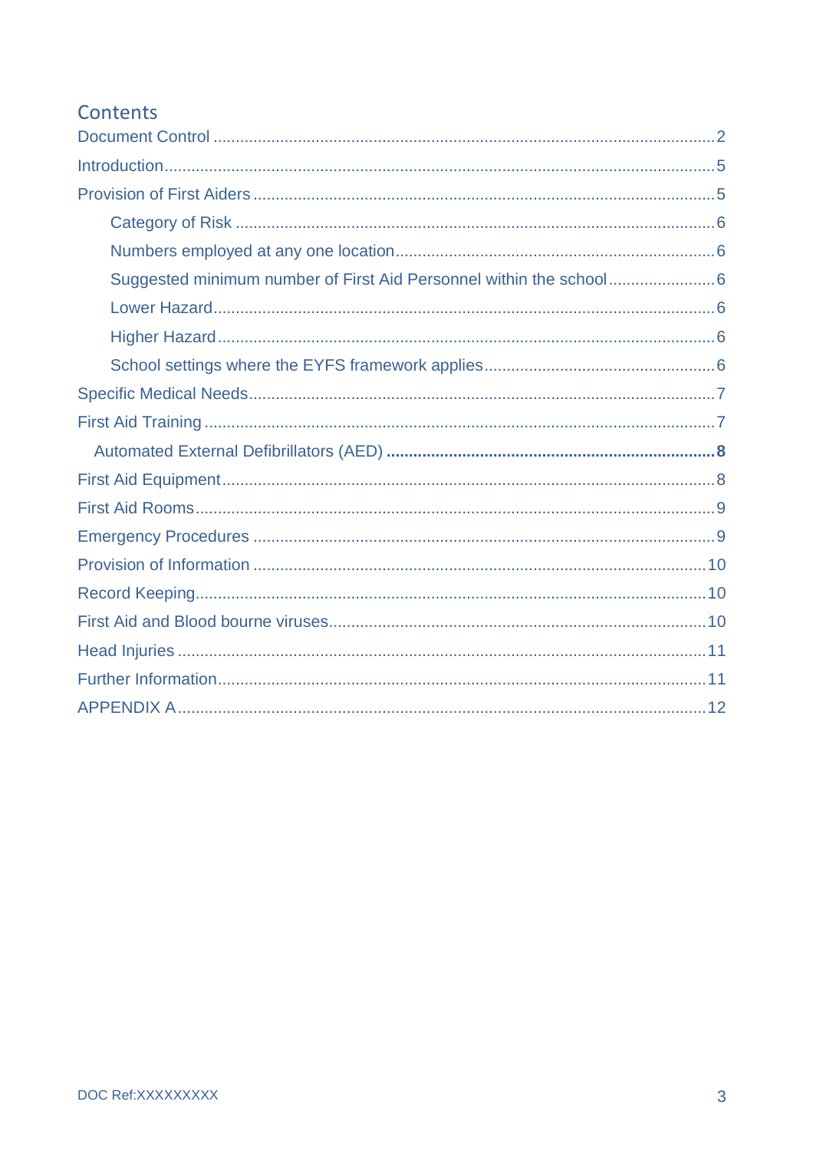# Contents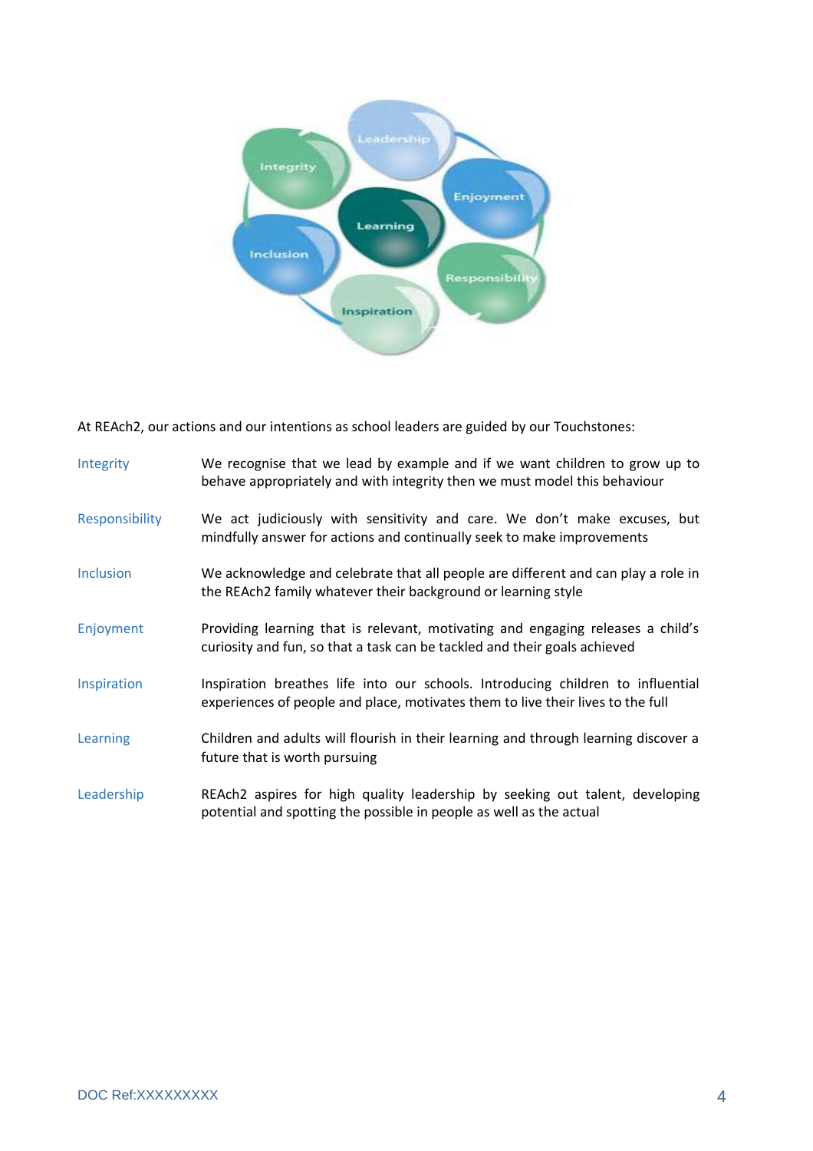

At REAch2, our actions and our intentions as school leaders are guided by our Touchstones:

| Integrity        | We recognise that we lead by example and if we want children to grow up to<br>behave appropriately and with integrity then we must model this behaviour            |
|------------------|--------------------------------------------------------------------------------------------------------------------------------------------------------------------|
| Responsibility   | We act judiciously with sensitivity and care. We don't make excuses, but<br>mindfully answer for actions and continually seek to make improvements                 |
| <b>Inclusion</b> | We acknowledge and celebrate that all people are different and can play a role in<br>the REAch2 family whatever their background or learning style                 |
| Enjoyment        | Providing learning that is relevant, motivating and engaging releases a child's<br>curiosity and fun, so that a task can be tackled and their goals achieved       |
| Inspiration      | Inspiration breathes life into our schools. Introducing children to influential<br>experiences of people and place, motivates them to live their lives to the full |
| Learning         | Children and adults will flourish in their learning and through learning discover a<br>future that is worth pursuing                                               |
| Leadership       | REAch2 aspires for high quality leadership by seeking out talent, developing<br>potential and spotting the possible in people as well as the actual                |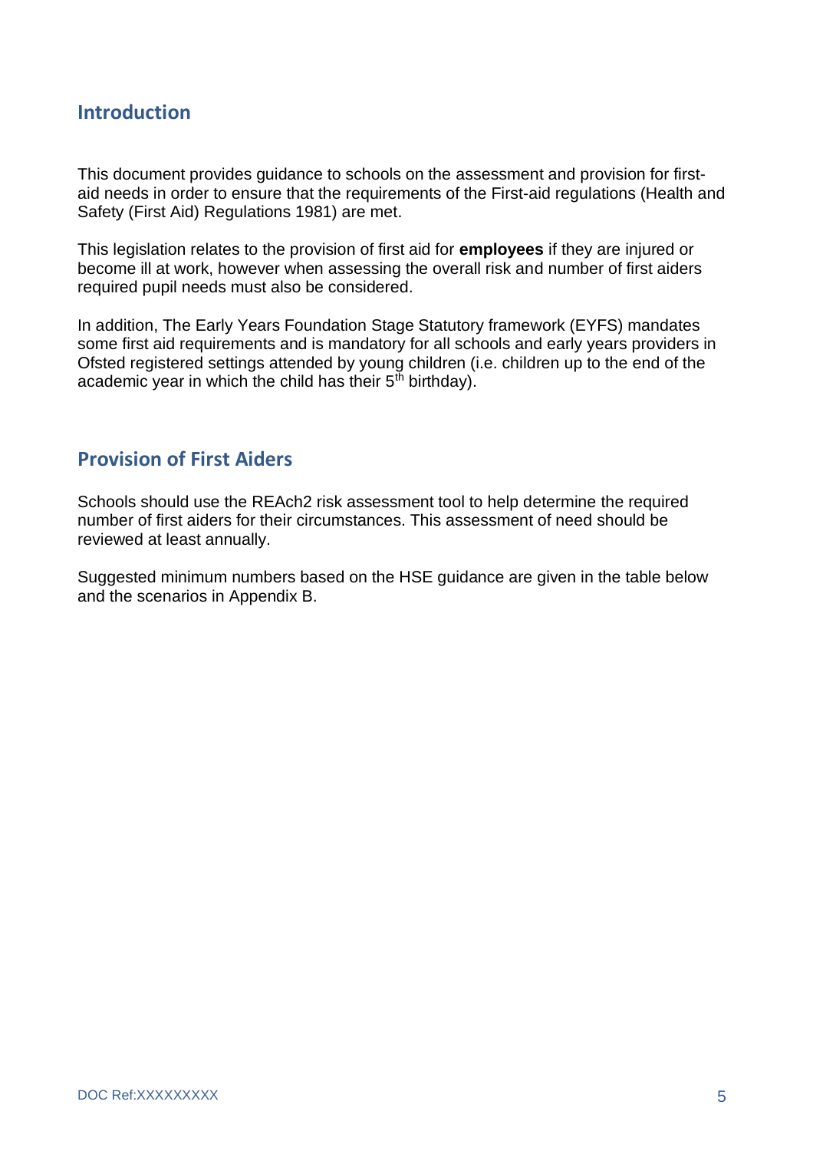#### <span id="page-4-0"></span>**Introduction**

This document provides guidance to schools on the assessment and provision for firstaid needs in order to ensure that the requirements of the First-aid regulations (Health and Safety (First Aid) Regulations 1981) are met.

This legislation relates to the provision of first aid for **employees** if they are injured or become ill at work, however when assessing the overall risk and number of first aiders required pupil needs must also be considered.

In addition, The Early Years Foundation Stage Statutory framework (EYFS) mandates some first aid requirements and is mandatory for all schools and early years providers in Ofsted registered settings attended by young children (i.e. children up to the end of the academic year in which the child has their  $5<sup>th</sup>$  birthday).

#### <span id="page-4-1"></span>**Provision of First Aiders**

Schools should use the REAch2 risk assessment tool to help determine the required number of first aiders for their circumstances. This assessment of need should be reviewed at least annually.

Suggested minimum numbers based on the HSE guidance are given in the table below and the scenarios in Appendix B.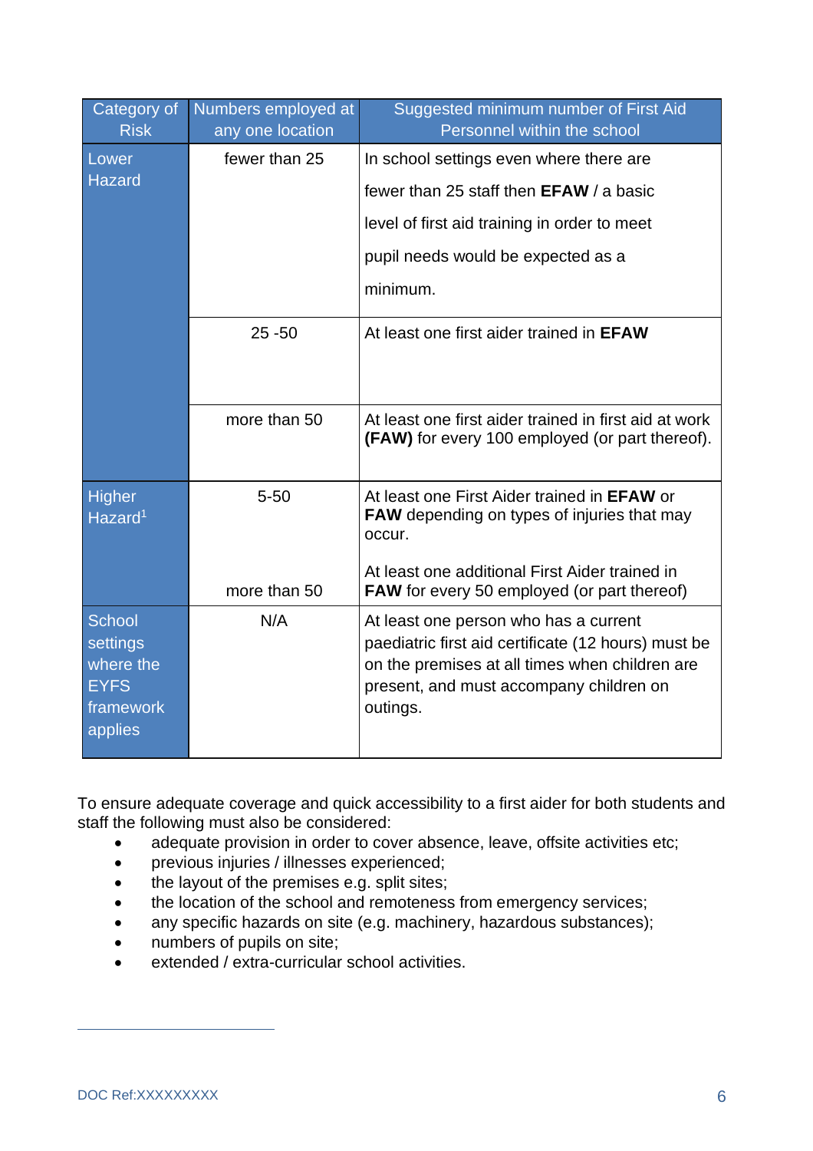<span id="page-5-3"></span><span id="page-5-2"></span><span id="page-5-1"></span><span id="page-5-0"></span>

| Category of<br><b>Risk</b>                                                    | Numbers employed at<br>any one location | Suggested minimum number of First Aid<br>Personnel within the school                                                                                                                                  |
|-------------------------------------------------------------------------------|-----------------------------------------|-------------------------------------------------------------------------------------------------------------------------------------------------------------------------------------------------------|
| Lower                                                                         | fewer than 25                           | In school settings even where there are                                                                                                                                                               |
| <b>Hazard</b>                                                                 |                                         | fewer than 25 staff then <b>EFAW</b> / a basic                                                                                                                                                        |
|                                                                               |                                         | level of first aid training in order to meet                                                                                                                                                          |
|                                                                               |                                         | pupil needs would be expected as a                                                                                                                                                                    |
|                                                                               |                                         | minimum.                                                                                                                                                                                              |
|                                                                               | $25 - 50$                               | At least one first aider trained in <b>EFAW</b>                                                                                                                                                       |
|                                                                               | more than 50                            | At least one first aider trained in first aid at work<br>(FAW) for every 100 employed (or part thereof).                                                                                              |
| Higher<br>Hazard <sup>1</sup>                                                 | $5 - 50$                                | At least one First Aider trained in <b>EFAW</b> or<br><b>FAW</b> depending on types of injuries that may<br>occur.                                                                                    |
|                                                                               | more than 50                            | At least one additional First Aider trained in<br><b>FAW</b> for every 50 employed (or part thereof)                                                                                                  |
| <b>School</b><br>settings<br>where the<br><b>EYFS</b><br>framework<br>applies | N/A                                     | At least one person who has a current<br>paediatric first aid certificate (12 hours) must be<br>on the premises at all times when children are<br>present, and must accompany children on<br>outings. |

<span id="page-5-5"></span><span id="page-5-4"></span>To ensure adequate coverage and quick accessibility to a first aider for both students and staff the following must also be considered:

- adequate provision in order to cover absence, leave, offsite activities etc;
- previous injuries / illnesses experienced;
- the layout of the premises e.g. split sites;
- the location of the school and remoteness from emergency services;
- any specific hazards on site (e.g. machinery, hazardous substances);
- numbers of pupils on site;
- extended / extra-curricular school activities.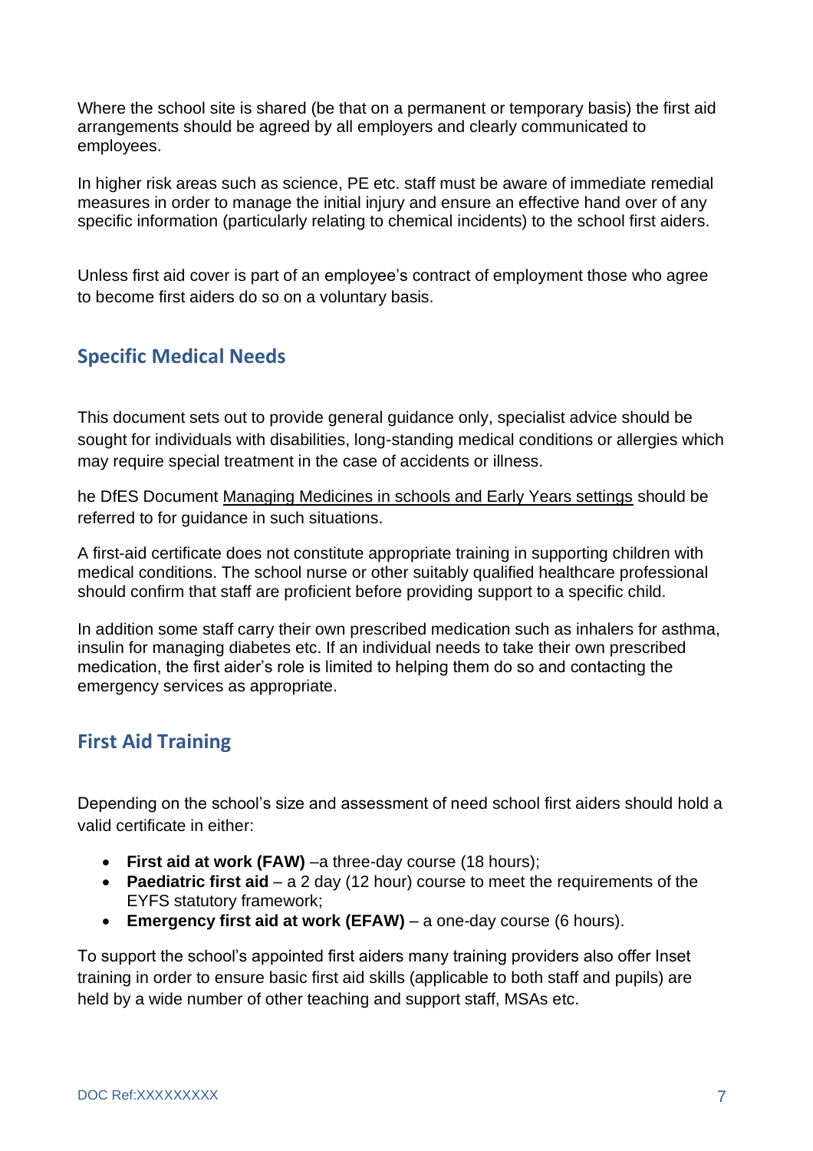Where the school site is shared (be that on a permanent or temporary basis) the first aid arrangements should be agreed by all employers and clearly communicated to employees.

In higher risk areas such as science, PE etc. staff must be aware of immediate remedial measures in order to manage the initial injury and ensure an effective hand over of any specific information (particularly relating to chemical incidents) to the school first aiders.

Unless first aid cover is part of an employee's contract of employment those who agree to become first aiders do so on a voluntary basis.

# <span id="page-6-0"></span>**Specific Medical Needs**

This document sets out to provide general guidance only, specialist advice should be sought for individuals with disabilities, long-standing medical conditions or allergies which may require special treatment in the case of accidents or illness.

he DfES Document [Managing Medicines in schools and Early Years settings](https://www.gov.uk/government/publications/managing-medicines-in-schools-and-early-years-settings) should be referred to for guidance in such situations.

A first-aid certificate does not constitute appropriate training in supporting children with medical conditions. The school nurse or other suitably qualified healthcare professional should confirm that staff are proficient before providing support to a specific child.

In addition some staff carry their own prescribed medication such as inhalers for asthma, insulin for managing diabetes etc. If an individual needs to take their own prescribed medication, the first aider's role is limited to helping them do so and contacting the emergency services as appropriate.

## <span id="page-6-1"></span>**First Aid Training**

Depending on the school's size and assessment of need school first aiders should hold a valid certificate in either:

- **First aid at work (FAW)** –a three-day course (18 hours);
- **Paediatric first aid**  a 2 day (12 hour) course to meet the requirements of the EYFS statutory framework;
- **Emergency first aid at work (EFAW)** a one-day course (6 hours).

To support the school's appointed first aiders many training providers also offer Inset training in order to ensure basic first aid skills (applicable to both staff and pupils) are held by a wide number of other teaching and support staff, MSAs etc.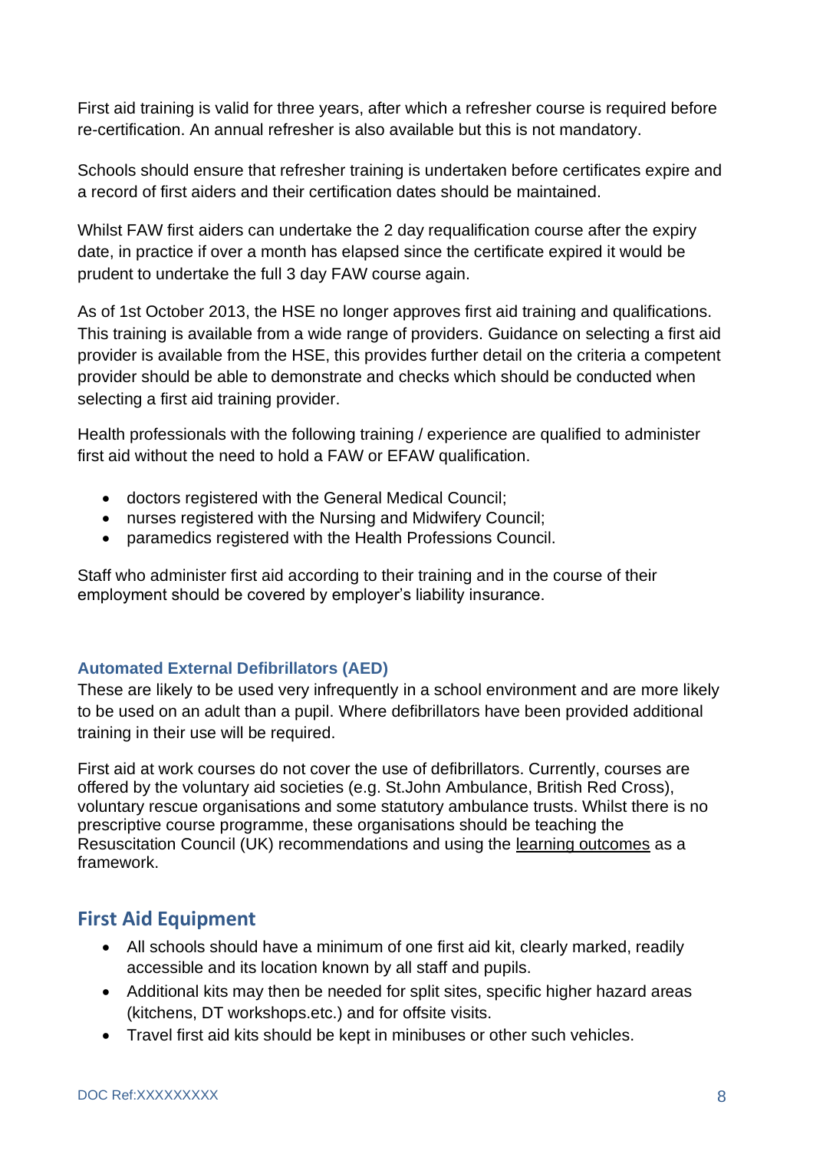First aid training is valid for three years, after which a refresher course is required before re-certification. An annual refresher is also available but this is not mandatory.

Schools should ensure that refresher training is undertaken before certificates expire and a record of first aiders and their certification dates should be maintained.

Whilst FAW first aiders can undertake the 2 day requalification course after the expiry date, in practice if over a month has elapsed since the certificate expired it would be prudent to undertake the full 3 day FAW course again.

As of 1st October 2013, the HSE no longer approves first aid training and qualifications. This training is available from a wide range of providers. Guidance on selecting a first aid provider is available from the HSE, this provides further detail on the criteria a competent provider should be able to demonstrate and checks which should be conducted when selecting a first aid training provider.

Health professionals with the following training / experience are qualified to administer first aid without the need to hold a FAW or EFAW qualification.

- doctors registered with the General Medical Council;
- nurses registered with the Nursing and Midwifery Council;
- paramedics registered with the Health Professions Council.

Staff who administer first aid according to their training and in the course of their employment should be covered by employer's liability insurance.

#### <span id="page-7-0"></span>**Automated External Defibrillators (AED)**

These are likely to be used very infrequently in a school environment and are more likely to be used on an adult than a pupil. Where defibrillators have been provided additional training in their use will be required.

First aid at work courses do not cover the use of defibrillators. Currently, courses are offered by the voluntary aid societies (e.g. St.John Ambulance, British Red Cross), voluntary rescue organisations and some statutory ambulance trusts. Whilst there is no prescriptive course programme, these organisations should be teaching the Resuscitation Council (UK) recommendations and using the [learning outcomes](http://resus.org.uk/pages/lrnOutcm.htm) as a framework.

## <span id="page-7-1"></span>**First Aid Equipment**

- All schools should have a minimum of one first aid kit, clearly marked, readily accessible and its location known by all staff and pupils.
- Additional kits may then be needed for split sites, specific higher hazard areas (kitchens, DT workshops.etc.) and for offsite visits.
- Travel first aid kits should be kept in minibuses or other such vehicles.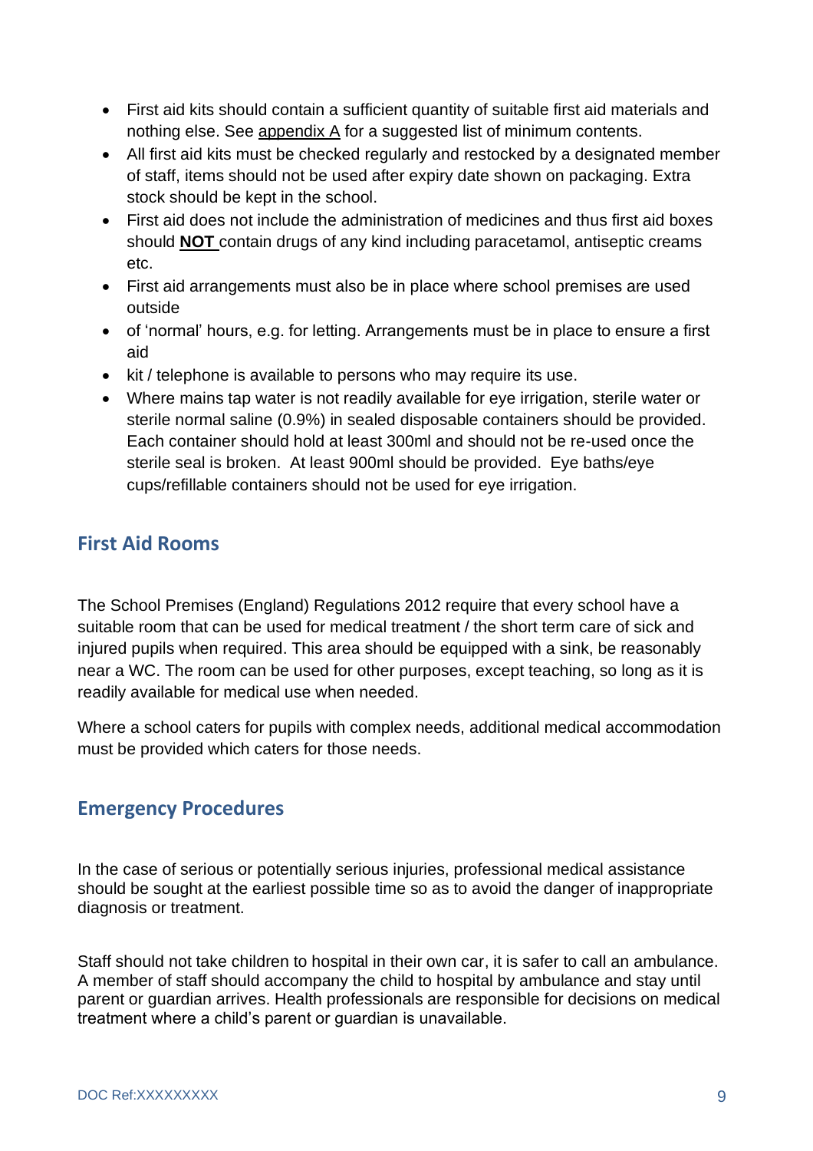- First aid kits should contain a sufficient quantity of suitable first aid materials and nothing else. See appendix A for a suggested list of minimum contents.
- All first aid kits must be checked regularly and restocked by a designated member of staff, items should not be used after expiry date shown on packaging. Extra stock should be kept in the school.
- First aid does not include the administration of medicines and thus first aid boxes should **NOT** contain drugs of any kind including paracetamol, antiseptic creams etc.
- First aid arrangements must also be in place where school premises are used outside
- of 'normal' hours, e.g. for letting. Arrangements must be in place to ensure a first aid
- kit / telephone is available to persons who may require its use.
- Where mains tap water is not readily available for eye irrigation, sterile water or sterile normal saline (0.9%) in sealed disposable containers should be provided. Each container should hold at least 300ml and should not be re-used once the sterile seal is broken. At least 900ml should be provided. Eye baths/eye cups/refillable containers should not be used for eye irrigation.

#### <span id="page-8-0"></span>**First Aid Rooms**

The School Premises (England) Regulations 2012 require that every school have a suitable room that can be used for medical treatment / the short term care of sick and injured pupils when required. This area should be equipped with a sink, be reasonably near a WC. The room can be used for other purposes, except teaching, so long as it is readily available for medical use when needed.

Where a school caters for pupils with complex needs, additional medical accommodation must be provided which caters for those needs.

## <span id="page-8-1"></span>**Emergency Procedures**

In the case of serious or potentially serious injuries, professional medical assistance should be sought at the earliest possible time so as to avoid the danger of inappropriate diagnosis or treatment.

Staff should not take children to hospital in their own car, it is safer to call an ambulance. A member of staff should accompany the child to hospital by ambulance and stay until parent or guardian arrives. Health professionals are responsible for decisions on medical treatment where a child's parent or guardian is unavailable.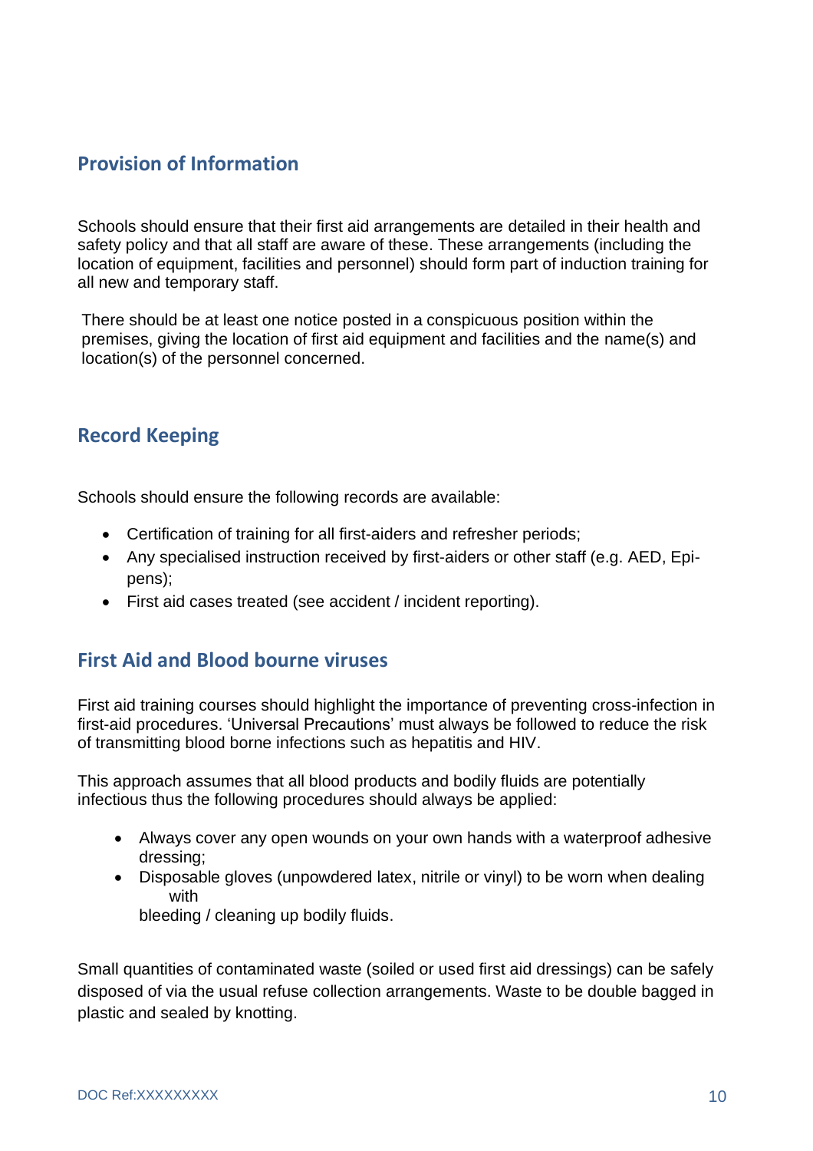# <span id="page-9-0"></span>**Provision of Information**

Schools should ensure that their first aid arrangements are detailed in their health and safety policy and that all staff are aware of these. These arrangements (including the location of equipment, facilities and personnel) should form part of induction training for all new and temporary staff.

There should be at least one notice posted in a conspicuous position within the premises, giving the location of first aid equipment and facilities and the name(s) and location(s) of the personnel concerned.

# <span id="page-9-1"></span>**Record Keeping**

Schools should ensure the following records are available:

- Certification of training for all first-aiders and refresher periods;
- Any specialised instruction received by first-aiders or other staff (e.g. AED, Epipens);
- First aid cases treated (see accident / incident reporting).

## <span id="page-9-2"></span>**First Aid and Blood bourne viruses**

First aid training courses should highlight the importance of preventing cross-infection in first-aid procedures. 'Universal Precautions' must always be followed to reduce the risk of transmitting blood borne infections such as hepatitis and HIV.

This approach assumes that all blood products and bodily fluids are potentially infectious thus the following procedures should always be applied:

- Always cover any open wounds on your own hands with a waterproof adhesive dressing;
- Disposable gloves (unpowdered latex, nitrile or vinyl) to be worn when dealing with

bleeding / cleaning up bodily fluids.

Small quantities of contaminated waste (soiled or used first aid dressings) can be safely disposed of via the usual refuse collection arrangements. Waste to be double bagged in plastic and sealed by knotting.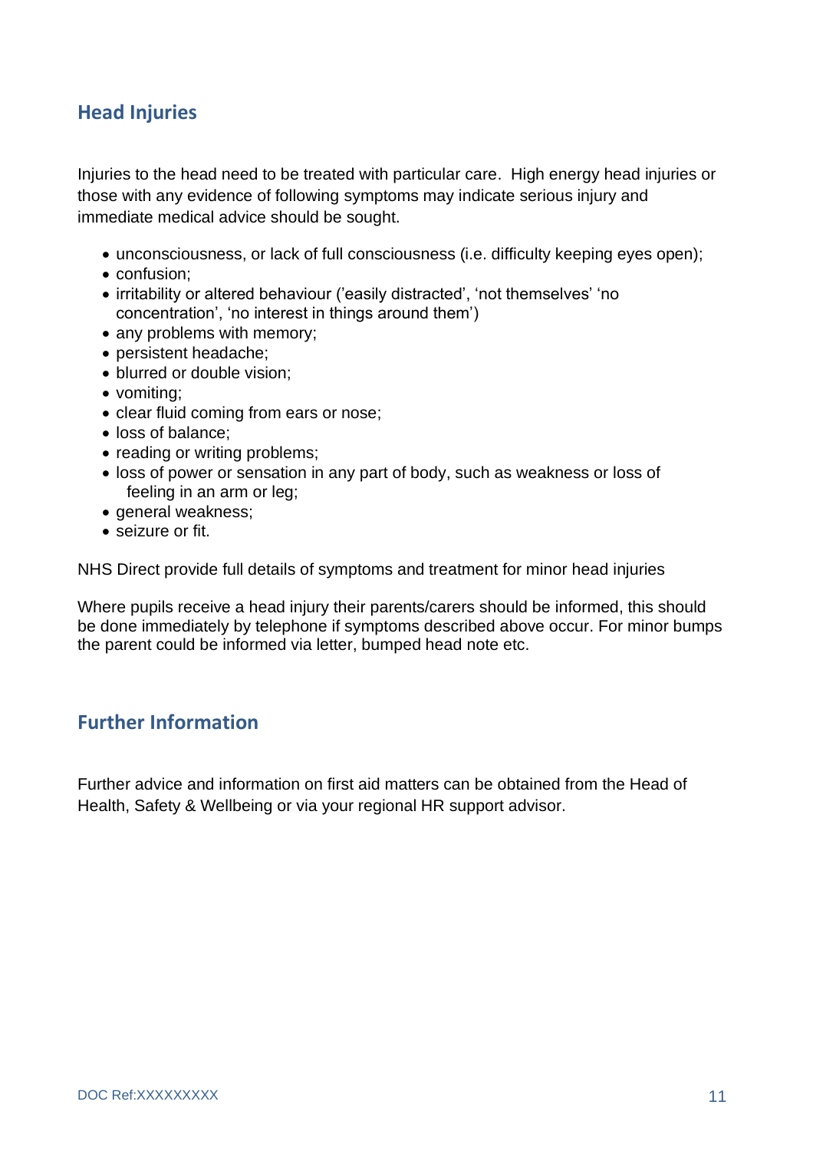# <span id="page-10-0"></span>**Head Injuries**

Injuries to the head need to be treated with particular care. High energy head injuries or those with any evidence of following symptoms may indicate serious injury and immediate medical advice should be sought.

- unconsciousness, or lack of full consciousness (i.e. difficulty keeping eyes open);
- confusion;
- irritability or altered behaviour ('easily distracted', 'not themselves' 'no concentration', 'no interest in things around them')
- any problems with memory;
- persistent headache;
- blurred or double vision;
- vomiting;
- clear fluid coming from ears or nose;
- loss of balance:
- reading or writing problems;
- loss of power or sensation in any part of body, such as weakness or loss of feeling in an arm or leg;
- general weakness;
- seizure or fit.

NHS Direct provide full details of symptoms and treatment for minor head injuries

Where pupils receive a head injury their parents/carers should be informed, this should be done immediately by telephone if symptoms described above occur. For minor bumps the parent could be informed via letter, bumped head note etc.

## <span id="page-10-1"></span>**Further Information**

Further advice and information on first aid matters can be obtained from the Head of Health, Safety & Wellbeing or via your regional HR support advisor.